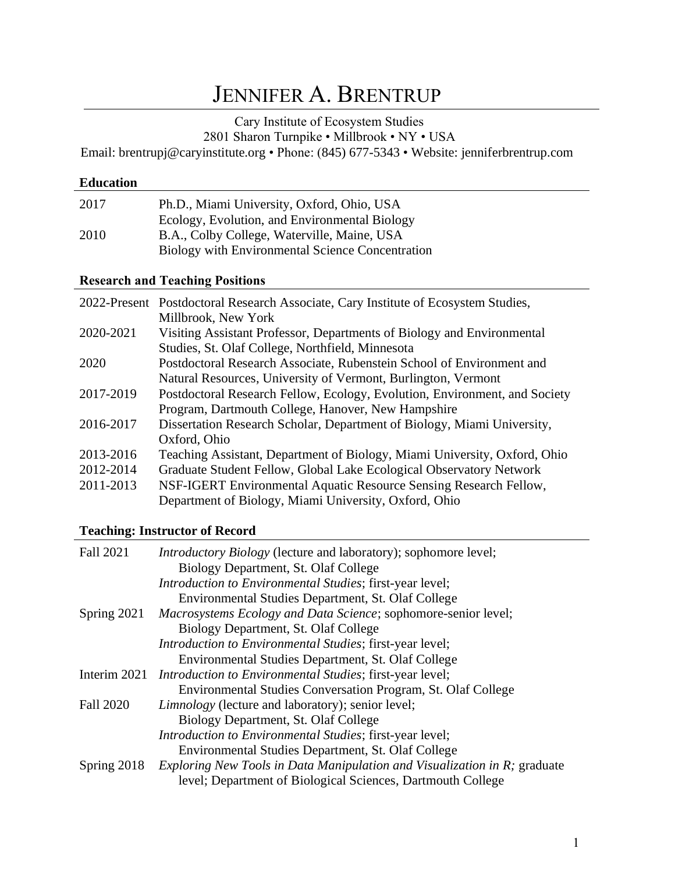# JENNIFER A. BRENTRUP

Cary Institute of Ecosystem Studies

2801 Sharon Turnpike • Millbrook • NY • USA

Email: brentrupj@caryinstitute.org • Phone: (845) 677-5343 • Website: jenniferbrentrup.com

## **Education**

| 2017 | Ph.D., Miami University, Oxford, Ohio, USA       |
|------|--------------------------------------------------|
|      | Ecology, Evolution, and Environmental Biology    |
| 2010 | B.A., Colby College, Waterville, Maine, USA      |
|      | Biology with Environmental Science Concentration |

## **Research and Teaching Positions**

|           | 2022-Present Postdoctoral Research Associate, Cary Institute of Ecosystem Studies, |
|-----------|------------------------------------------------------------------------------------|
|           | Millbrook, New York                                                                |
| 2020-2021 | Visiting Assistant Professor, Departments of Biology and Environmental             |
|           | Studies, St. Olaf College, Northfield, Minnesota                                   |
| 2020      | Postdoctoral Research Associate, Rubenstein School of Environment and              |
|           | Natural Resources, University of Vermont, Burlington, Vermont                      |
| 2017-2019 | Postdoctoral Research Fellow, Ecology, Evolution, Environment, and Society         |
|           | Program, Dartmouth College, Hanover, New Hampshire                                 |
| 2016-2017 | Dissertation Research Scholar, Department of Biology, Miami University,            |
|           | Oxford, Ohio                                                                       |
| 2013-2016 | Teaching Assistant, Department of Biology, Miami University, Oxford, Ohio          |
| 2012-2014 | Graduate Student Fellow, Global Lake Ecological Observatory Network                |
| 2011-2013 | NSF-IGERT Environmental Aquatic Resource Sensing Research Fellow,                  |
|           | Department of Biology, Miami University, Oxford, Ohio                              |

# **Teaching: Instructor of Record**

| <b>Fall 2021</b> | <i>Introductory Biology</i> (lecture and laboratory); sophomore level;           |
|------------------|----------------------------------------------------------------------------------|
|                  | Biology Department, St. Olaf College                                             |
|                  | Introduction to Environmental Studies; first-year level;                         |
|                  | Environmental Studies Department, St. Olaf College                               |
| Spring $2021$    | Macrosystems Ecology and Data Science; sophomore-senior level;                   |
|                  | Biology Department, St. Olaf College                                             |
|                  | Introduction to Environmental Studies; first-year level;                         |
|                  | Environmental Studies Department, St. Olaf College                               |
|                  | Interim 2021 <i>Introduction to Environmental Studies</i> ; first-year level;    |
|                  | Environmental Studies Conversation Program, St. Olaf College                     |
| <b>Fall 2020</b> | <i>Limnology</i> (lecture and laboratory); senior level;                         |
|                  | Biology Department, St. Olaf College                                             |
|                  | <i>Introduction to Environmental Studies; first-year level;</i>                  |
|                  | Environmental Studies Department, St. Olaf College                               |
| Spring $2018$    | <i>Exploring New Tools in Data Manipulation and Visualization in R; graduate</i> |
|                  | level; Department of Biological Sciences, Dartmouth College                      |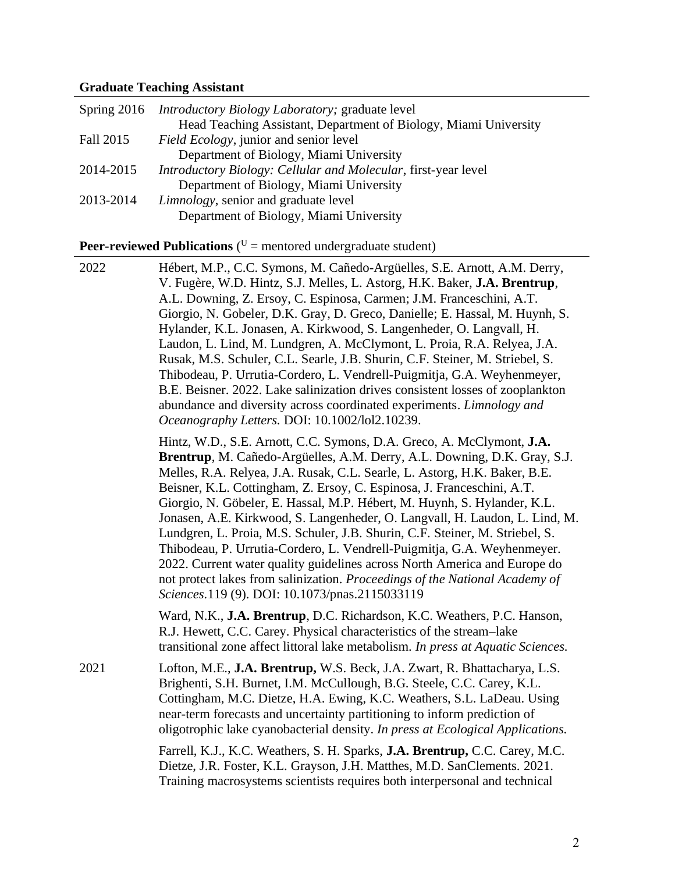#### **Graduate Teaching Assistant**

|           | Spring 2016 <i>Introductory Biology Laboratory</i> ; graduate level |
|-----------|---------------------------------------------------------------------|
|           | Head Teaching Assistant, Department of Biology, Miami University    |
| Fall 2015 | Field Ecology, junior and senior level                              |
|           | Department of Biology, Miami University                             |
| 2014-2015 | Introductory Biology: Cellular and Molecular, first-year level      |
|           | Department of Biology, Miami University                             |
| 2013-2014 | <i>Limnology</i> , senior and graduate level                        |
|           | Department of Biology, Miami University                             |

**Peer-reviewed Publications** ( $U =$  mentored undergraduate student)

2022 Hébert, M.P., C.C. Symons, M. Cañedo-Argüelles, S.E. Arnott, A.M. Derry, V. Fugère, W.D. Hintz, S.J. Melles, L. Astorg, H.K. Baker, **J.A. Brentrup**, A.L. Downing, Z. Ersoy, C. Espinosa, Carmen; J.M. Franceschini, A.T. Giorgio, N. Gobeler, D.K. Gray, D. Greco, Danielle; E. Hassal, M. Huynh, S. Hylander, K.L. Jonasen, A. Kirkwood, S. Langenheder, O. Langvall, H. Laudon, L. Lind, M. Lundgren, A. McClymont, L. Proia, R.A. Relyea, J.A. Rusak, M.S. Schuler, C.L. Searle, J.B. Shurin, C.F. Steiner, M. Striebel, S. Thibodeau, P. Urrutia-Cordero, L. Vendrell-Puigmitja, G.A. Weyhenmeyer, B.E. Beisner. 2022. Lake salinization drives consistent losses of zooplankton abundance and diversity across coordinated experiments. *Limnology and Oceanography Letters.* DOI: 10.1002/lol2.10239.

> Hintz, W.D., S.E. Arnott, C.C. Symons, D.A. Greco, A. McClymont, **J.A. Brentrup**, M. Cañedo-Argüelles, A.M. Derry, A.L. Downing, D.K. Gray, S.J. Melles, R.A. Relyea, J.A. Rusak, C.L. Searle, L. Astorg, H.K. Baker, B.E. Beisner, K.L. Cottingham, Z. Ersoy, C. Espinosa, J. Franceschini, A.T. Giorgio, N. Göbeler, E. Hassal, M.P. Hébert, M. Huynh, S. Hylander, K.L. Jonasen, A.E. Kirkwood, S. Langenheder, O. Langvall, H. Laudon, L. Lind, M. Lundgren, L. Proia, M.S. Schuler, J.B. Shurin, C.F. Steiner, M. Striebel, S. Thibodeau, P. Urrutia-Cordero, L. Vendrell-Puigmitja, G.A. Weyhenmeyer. 2022. Current water quality guidelines across North America and Europe do not protect lakes from salinization. *Proceedings of the National Academy of Sciences.*119 (9). DOI: 10.1073/pnas.2115033119

Ward, N.K., **J.A. Brentrup**, D.C. Richardson, K.C. Weathers, P.C. Hanson, R.J. Hewett, C.C. Carey. Physical characteristics of the stream–lake transitional zone affect littoral lake metabolism. *In press at Aquatic Sciences.*

2021 Lofton, M.E., **J.A. Brentrup,** W.S. Beck, J.A. Zwart, R. Bhattacharya, L.S. Brighenti, S.H. Burnet, I.M. McCullough, B.G. Steele, C.C. Carey, K.L. Cottingham, M.C. Dietze, H.A. Ewing, K.C. Weathers, S.L. LaDeau. Using near-term forecasts and uncertainty partitioning to inform prediction of oligotrophic lake cyanobacterial density. *In press at Ecological Applications.*

> Farrell, K.J., K.C. Weathers, S. H. Sparks, **J.A. Brentrup,** C.C. Carey, M.C. Dietze, J.R. Foster, K.L. Grayson, J.H. Matthes, M.D. SanClements. 2021. Training macrosystems scientists requires both interpersonal and technical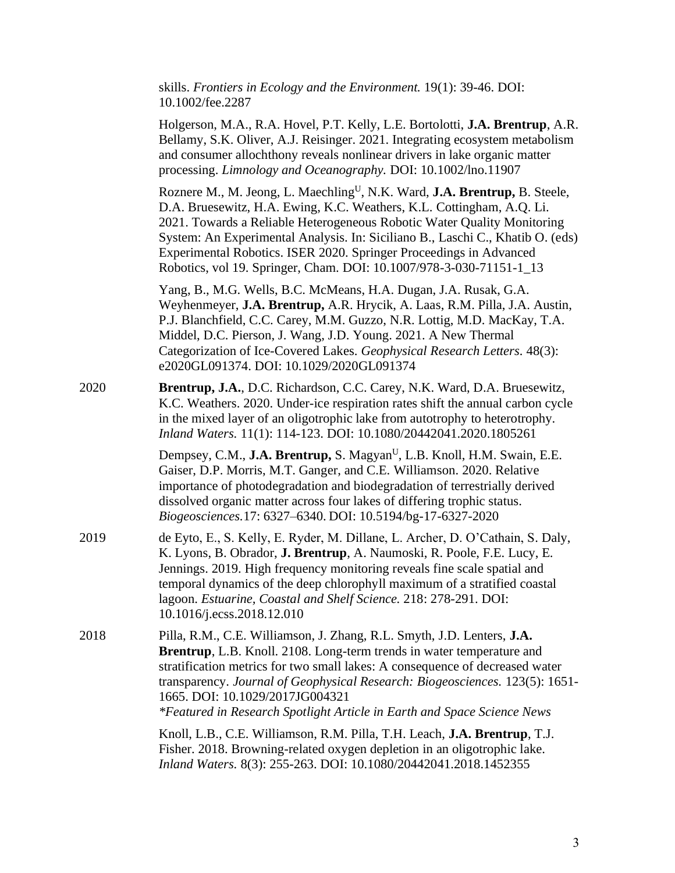|                  |  | skills. Frontiers in Ecology and the Environment. $19(1)$ : 39-46. DOI: |  |
|------------------|--|-------------------------------------------------------------------------|--|
| 10.1002/fee.2287 |  |                                                                         |  |

|      | Holgerson, M.A., R.A. Hovel, P.T. Kelly, L.E. Bortolotti, J.A. Brentrup, A.R.<br>Bellamy, S.K. Oliver, A.J. Reisinger. 2021. Integrating ecosystem metabolism<br>and consumer allochthony reveals nonlinear drivers in lake organic matter<br>processing. Limnology and Oceanography. DOI: 10.1002/lno.11907                                                                                                                                                                      |
|------|-----------------------------------------------------------------------------------------------------------------------------------------------------------------------------------------------------------------------------------------------------------------------------------------------------------------------------------------------------------------------------------------------------------------------------------------------------------------------------------|
|      | Roznere M., M. Jeong, L. Maechling <sup>U</sup> , N.K. Ward, <b>J.A. Brentrup, B. Steele</b> ,<br>D.A. Bruesewitz, H.A. Ewing, K.C. Weathers, K.L. Cottingham, A.Q. Li.<br>2021. Towards a Reliable Heterogeneous Robotic Water Quality Monitoring<br>System: An Experimental Analysis. In: Siciliano B., Laschi C., Khatib O. (eds)<br>Experimental Robotics. ISER 2020. Springer Proceedings in Advanced<br>Robotics, vol 19. Springer, Cham. DOI: 10.1007/978-3-030-71151-1_13 |
|      | Yang, B., M.G. Wells, B.C. McMeans, H.A. Dugan, J.A. Rusak, G.A.<br>Weyhenmeyer, J.A. Brentrup, A.R. Hrycik, A. Laas, R.M. Pilla, J.A. Austin,<br>P.J. Blanchfield, C.C. Carey, M.M. Guzzo, N.R. Lottig, M.D. MacKay, T.A.<br>Middel, D.C. Pierson, J. Wang, J.D. Young. 2021. A New Thermal<br>Categorization of Ice-Covered Lakes. Geophysical Research Letters. 48(3):<br>e2020GL091374. DOI: 10.1029/2020GL091374                                                             |
| 2020 | Brentrup, J.A., D.C. Richardson, C.C. Carey, N.K. Ward, D.A. Bruesewitz,<br>K.C. Weathers. 2020. Under-ice respiration rates shift the annual carbon cycle<br>in the mixed layer of an oligotrophic lake from autotrophy to heterotrophy.<br>Inland Waters. 11(1): 114-123. DOI: 10.1080/20442041.2020.1805261                                                                                                                                                                    |
|      | Dempsey, C.M., J.A. Brentrup, S. Magyan <sup>U</sup> , L.B. Knoll, H.M. Swain, E.E.<br>Gaiser, D.P. Morris, M.T. Ganger, and C.E. Williamson. 2020. Relative<br>importance of photodegradation and biodegradation of terrestrially derived<br>dissolved organic matter across four lakes of differing trophic status.<br>Biogeosciences.17: 6327-6340. DOI: 10.5194/bg-17-6327-2020                                                                                               |
| 2019 | de Eyto, E., S. Kelly, E. Ryder, M. Dillane, L. Archer, D. O'Cathain, S. Daly,<br>K. Lyons, B. Obrador, J. Brentrup, A. Naumoski, R. Poole, F.E. Lucy, E.<br>Jennings. 2019. High frequency monitoring reveals fine scale spatial and<br>temporal dynamics of the deep chlorophyll maximum of a stratified coastal<br>lagoon. Estuarine, Coastal and Shelf Science. 218: 278-291. DOI:<br>10.1016/j.ecss.2018.12.010                                                              |
| 2018 | Pilla, R.M., C.E. Williamson, J. Zhang, R.L. Smyth, J.D. Lenters, J.A.<br>Brentrup, L.B. Knoll. 2108. Long-term trends in water temperature and<br>stratification metrics for two small lakes: A consequence of decreased water<br>transparency. Journal of Geophysical Research: Biogeosciences. 123(5): 1651-<br>1665. DOI: 10.1029/2017JG004321<br>*Featured in Research Spotlight Article in Earth and Space Science News                                                     |
|      | Knoll, L.B., C.E. Williamson, R.M. Pilla, T.H. Leach, J.A. Brentrup, T.J.<br>Fisher. 2018. Browning-related oxygen depletion in an oligotrophic lake.<br>Inland Waters. 8(3): 255-263. DOI: 10.1080/20442041.2018.1452355                                                                                                                                                                                                                                                         |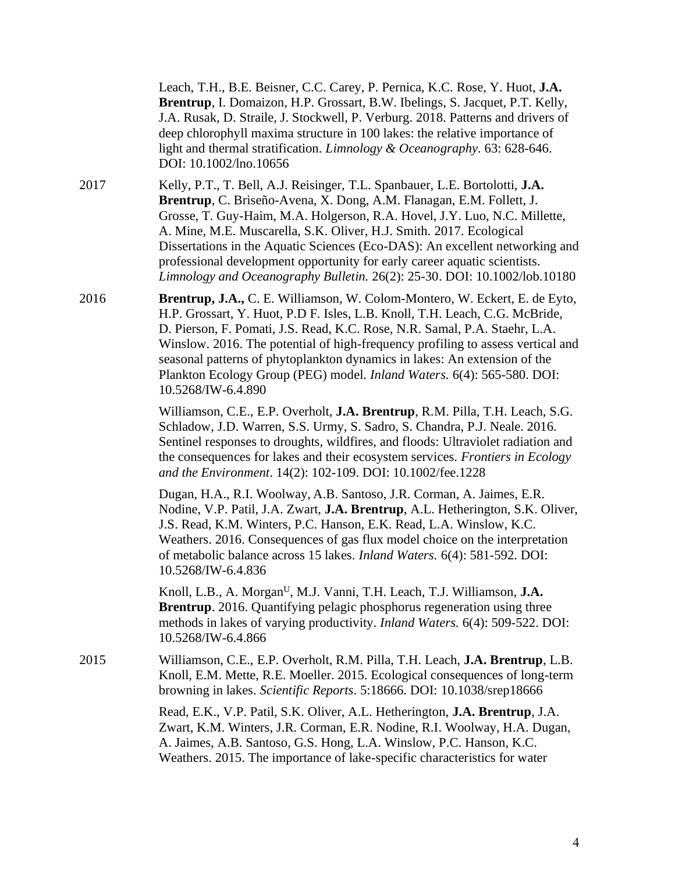|      | Leach, T.H., B.E. Beisner, C.C. Carey, P. Pernica, K.C. Rose, Y. Huot, J.A.<br>Brentrup, I. Domaizon, H.P. Grossart, B.W. Ibelings, S. Jacquet, P.T. Kelly,<br>J.A. Rusak, D. Straile, J. Stockwell, P. Verburg. 2018. Patterns and drivers of<br>deep chlorophyll maxima structure in 100 lakes: the relative importance of<br>light and thermal stratification. Limnology & Oceanography. 63: 628-646.<br>DOI: 10.1002/lno.10656                                                                                                                |
|------|---------------------------------------------------------------------------------------------------------------------------------------------------------------------------------------------------------------------------------------------------------------------------------------------------------------------------------------------------------------------------------------------------------------------------------------------------------------------------------------------------------------------------------------------------|
| 2017 | Kelly, P.T., T. Bell, A.J. Reisinger, T.L. Spanbauer, L.E. Bortolotti, J.A.<br>Brentrup, C. Briseño-Avena, X. Dong, A.M. Flanagan, E.M. Follett, J.<br>Grosse, T. Guy-Haim, M.A. Holgerson, R.A. Hovel, J.Y. Luo, N.C. Millette,<br>A. Mine, M.E. Muscarella, S.K. Oliver, H.J. Smith. 2017. Ecological<br>Dissertations in the Aquatic Sciences (Eco-DAS): An excellent networking and<br>professional development opportunity for early career aquatic scientists.<br>Limnology and Oceanography Bulletin. 26(2): 25-30. DOI: 10.1002/lob.10180 |
| 2016 | Brentrup, J.A., C. E. Williamson, W. Colom-Montero, W. Eckert, E. de Eyto,<br>H.P. Grossart, Y. Huot, P.D F. Isles, L.B. Knoll, T.H. Leach, C.G. McBride,<br>D. Pierson, F. Pomati, J.S. Read, K.C. Rose, N.R. Samal, P.A. Staehr, L.A.<br>Winslow. 2016. The potential of high-frequency profiling to assess vertical and<br>seasonal patterns of phytoplankton dynamics in lakes: An extension of the<br>Plankton Ecology Group (PEG) model. Inland Waters. 6(4): 565-580. DOI:<br>10.5268/IW-6.4.890                                           |
|      | Williamson, C.E., E.P. Overholt, J.A. Brentrup, R.M. Pilla, T.H. Leach, S.G.<br>Schladow, J.D. Warren, S.S. Urmy, S. Sadro, S. Chandra, P.J. Neale. 2016.<br>Sentinel responses to droughts, wildfires, and floods: Ultraviolet radiation and<br>the consequences for lakes and their ecosystem services. Frontiers in Ecology<br>and the Environment. 14(2): 102-109. DOI: 10.1002/fee.1228                                                                                                                                                      |
|      | Dugan, H.A., R.I. Woolway, A.B. Santoso, J.R. Corman, A. Jaimes, E.R.<br>Nodine, V.P. Patil, J.A. Zwart, <b>J.A. Brentrup</b> , A.L. Hetherington, S.K. Oliver,<br>J.S. Read, K.M. Winters, P.C. Hanson, E.K. Read, L.A. Winslow, K.C.<br>Weathers. 2016. Consequences of gas flux model choice on the interpretation<br>of metabolic balance across 15 lakes. Inland Waters. 6(4): 581-592. DOI:<br>10.5268/IW-6.4.836                                                                                                                           |
|      | Knoll, L.B., A. Morgan <sup>U</sup> , M.J. Vanni, T.H. Leach, T.J. Williamson, J.A.<br><b>Brentrup.</b> 2016. Quantifying pelagic phosphorus regeneration using three<br>methods in lakes of varying productivity. <i>Inland Waters</i> . 6(4): 509-522. DOI:<br>10.5268/IW-6.4.866                                                                                                                                                                                                                                                               |
| 2015 | Williamson, C.E., E.P. Overholt, R.M. Pilla, T.H. Leach, J.A. Brentrup, L.B.<br>Knoll, E.M. Mette, R.E. Moeller. 2015. Ecological consequences of long-term<br>browning in lakes. Scientific Reports. 5:18666. DOI: 10.1038/srep18666                                                                                                                                                                                                                                                                                                             |
|      | Read, E.K., V.P. Patil, S.K. Oliver, A.L. Hetherington, J.A. Brentrup, J.A.<br>Zwart, K.M. Winters, J.R. Corman, E.R. Nodine, R.I. Woolway, H.A. Dugan,<br>A. Jaimes, A.B. Santoso, G.S. Hong, L.A. Winslow, P.C. Hanson, K.C.<br>Weathers. 2015. The importance of lake-specific characteristics for water                                                                                                                                                                                                                                       |
|      |                                                                                                                                                                                                                                                                                                                                                                                                                                                                                                                                                   |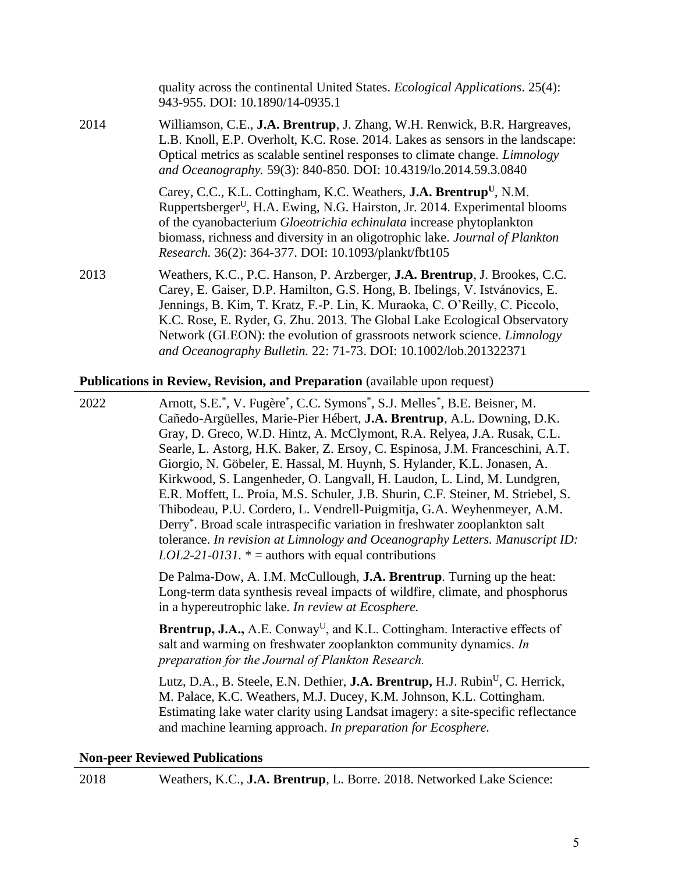|      | quality across the continental United States. <i>Ecological Applications</i> . 25(4):<br>943-955. DOI: 10.1890/14-0935.1                                                                                                                                                                                                                                                                                                                                                            |
|------|-------------------------------------------------------------------------------------------------------------------------------------------------------------------------------------------------------------------------------------------------------------------------------------------------------------------------------------------------------------------------------------------------------------------------------------------------------------------------------------|
| 2014 | Williamson, C.E., J.A. Brentrup, J. Zhang, W.H. Renwick, B.R. Hargreaves,<br>L.B. Knoll, E.P. Overholt, K.C. Rose. 2014. Lakes as sensors in the landscape:<br>Optical metrics as scalable sentinel responses to climate change. <i>Limnology</i><br>and Oceanography. 59(3): 840-850. DOI: 10.4319/lo.2014.59.3.0840                                                                                                                                                               |
|      | Carey, C.C., K.L. Cottingham, K.C. Weathers, <b>J.A. Brentrup</b> <sup>U</sup> , N.M.<br>Ruppertsberger <sup>U</sup> , H.A. Ewing, N.G. Hairston, Jr. 2014. Experimental blooms<br>of the cyanobacterium <i>Gloeotrichia echinulata</i> increase phytoplankton<br>biomass, richness and diversity in an oligotrophic lake. Journal of Plankton<br>Research. 36(2): 364-377. DOI: 10.1093/plankt/fbt105                                                                              |
| 2013 | Weathers, K.C., P.C. Hanson, P. Arzberger, <b>J.A. Brentrup</b> , J. Brookes, C.C.<br>Carey, E. Gaiser, D.P. Hamilton, G.S. Hong, B. Ibelings, V. Istvánovics, E.<br>Jennings, B. Kim, T. Kratz, F.-P. Lin, K. Muraoka, C. O'Reilly, C. Piccolo,<br>K.C. Rose, E. Ryder, G. Zhu. 2013. The Global Lake Ecological Observatory<br>Network (GLEON): the evolution of grassroots network science. <i>Limnology</i><br>and Oceanography Bulletin. 22: 71-73. DOI: 10.1002/lob.201322371 |

#### **Publications in Review, Revision, and Preparation** (available upon request)

2022 Arnott, S.E.\* , V. Fugère\* , C.C. Symons\* , S.J. Melles\* , B.E. Beisner, M. Cañedo-Argüelles, Marie-Pier Hébert, **J.A. Brentrup**, A.L. Downing, D.K. Gray, D. Greco, W.D. Hintz, A. McClymont, R.A. Relyea, J.A. Rusak, C.L. Searle, L. Astorg, H.K. Baker, Z. Ersoy, C. Espinosa, J.M. Franceschini, A.T. Giorgio, N. Göbeler, E. Hassal, M. Huynh, S. Hylander, K.L. Jonasen, A. Kirkwood, S. Langenheder, O. Langvall, H. Laudon, L. Lind, M. Lundgren, E.R. Moffett, L. Proia, M.S. Schuler, J.B. Shurin, C.F. Steiner, M. Striebel, S. Thibodeau, P.U. Cordero, L. Vendrell-Puigmitja, G.A. Weyhenmeyer, A.M. Derry\* . Broad scale intraspecific variation in freshwater zooplankton salt tolerance. *In revision at Limnology and Oceanography Letters. Manuscript ID: LOL2-21-0131.*  $* =$  authors with equal contributions

> De Palma-Dow, A. I.M. McCullough, **J.A. Brentrup***.* Turning up the heat: Long-term data synthesis reveal impacts of wildfire, climate, and phosphorus in a hypereutrophic lake. *In review at Ecosphere.*

Brentrup, J.A., A.E. Conway<sup>U</sup>, and K.L. Cottingham. Interactive effects of salt and warming on freshwater zooplankton community dynamics. *In preparation for the Journal of Plankton Research.*

Lutz, D.A., B. Steele, E.N. Dethier, **J.A. Brentrup,** H.J. Rubin<sup>U</sup>, C. Herrick, M. Palace, K.C. Weathers, M.J. Ducey, K.M. Johnson, K.L. Cottingham. Estimating lake water clarity using Landsat imagery: a site-specific reflectance and machine learning approach. *In preparation for Ecosphere.*

### **Non-peer Reviewed Publications**

2018 Weathers, K.C., **J.A. Brentrup**, L. Borre. 2018. Networked Lake Science: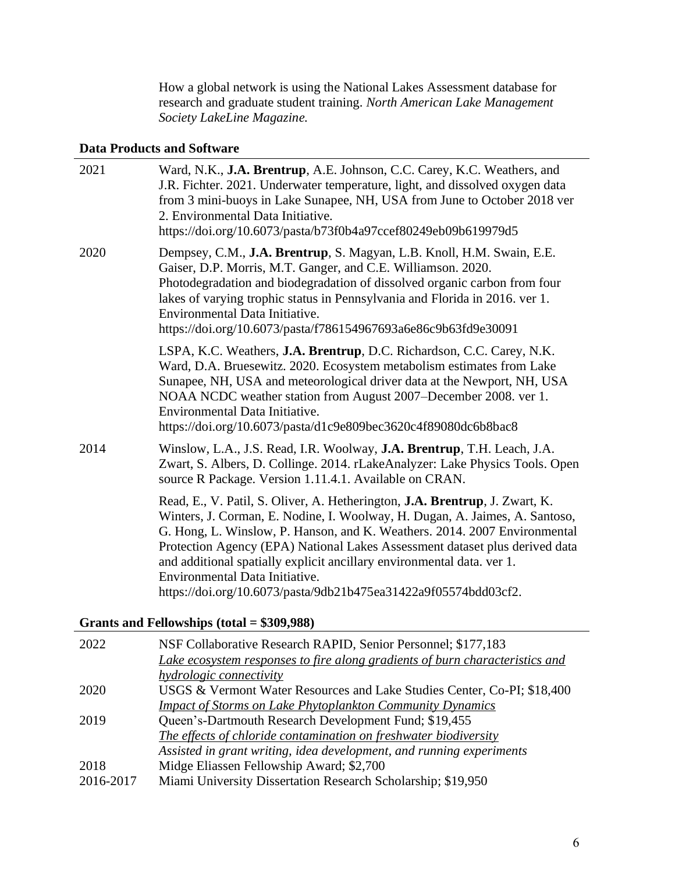How a global network is using the National Lakes Assessment database for research and graduate student training. *North American Lake Management Society LakeLine Magazine.*

# **Data Products and Software**

| 2021 | Ward, N.K., J.A. Brentrup, A.E. Johnson, C.C. Carey, K.C. Weathers, and<br>J.R. Fichter. 2021. Underwater temperature, light, and dissolved oxygen data<br>from 3 mini-buoys in Lake Sunapee, NH, USA from June to October 2018 ver<br>2. Environmental Data Initiative.<br>https://doi.org/10.6073/pasta/b73f0b4a97ccef80249eb09b619979d5                                                                                                                                                                    |
|------|---------------------------------------------------------------------------------------------------------------------------------------------------------------------------------------------------------------------------------------------------------------------------------------------------------------------------------------------------------------------------------------------------------------------------------------------------------------------------------------------------------------|
| 2020 | Dempsey, C.M., J.A. Brentrup, S. Magyan, L.B. Knoll, H.M. Swain, E.E.<br>Gaiser, D.P. Morris, M.T. Ganger, and C.E. Williamson. 2020.<br>Photodegradation and biodegradation of dissolved organic carbon from four<br>lakes of varying trophic status in Pennsylvania and Florida in 2016. ver 1.<br>Environmental Data Initiative.<br>https://doi.org/10.6073/pasta/f786154967693a6e86c9b63fd9e30091                                                                                                         |
|      | LSPA, K.C. Weathers, J.A. Brentrup, D.C. Richardson, C.C. Carey, N.K.<br>Ward, D.A. Bruesewitz. 2020. Ecosystem metabolism estimates from Lake<br>Sunapee, NH, USA and meteorological driver data at the Newport, NH, USA<br>NOAA NCDC weather station from August 2007–December 2008. ver 1.<br>Environmental Data Initiative.<br>https://doi.org/10.6073/pasta/d1c9e809bec3620c4f89080dc6b8bac8                                                                                                             |
| 2014 | Winslow, L.A., J.S. Read, I.R. Woolway, <b>J.A. Brentrup</b> , T.H. Leach, J.A.<br>Zwart, S. Albers, D. Collinge. 2014. rLakeAnalyzer: Lake Physics Tools. Open<br>source R Package. Version 1.11.4.1. Available on CRAN.                                                                                                                                                                                                                                                                                     |
|      | Read, E., V. Patil, S. Oliver, A. Hetherington, <b>J.A. Brentrup</b> , J. Zwart, K.<br>Winters, J. Corman, E. Nodine, I. Woolway, H. Dugan, A. Jaimes, A. Santoso,<br>G. Hong, L. Winslow, P. Hanson, and K. Weathers. 2014. 2007 Environmental<br>Protection Agency (EPA) National Lakes Assessment dataset plus derived data<br>and additional spatially explicit ancillary environmental data. ver 1.<br>Environmental Data Initiative.<br>https://doi.org/10.6073/pasta/9db21b475ea31422a9f05574bdd03cf2. |

# **Grants and Fellowships (total = \$309,988)**

| 2022      | NSF Collaborative Research RAPID, Senior Personnel; \$177,183                |
|-----------|------------------------------------------------------------------------------|
|           | Lake ecosystem responses to fire along gradients of burn characteristics and |
|           | <i>hydrologic connectivity</i>                                               |
| 2020      | USGS & Vermont Water Resources and Lake Studies Center, Co-PI; \$18,400      |
|           | <b>Impact of Storms on Lake Phytoplankton Community Dynamics</b>             |
| 2019      | Queen's-Dartmouth Research Development Fund; \$19,455                        |
|           | The effects of chloride contamination on freshwater biodiversity             |
|           | Assisted in grant writing, idea development, and running experiments         |
| 2018      | Midge Eliassen Fellowship Award; \$2,700                                     |
| 2016-2017 | Miami University Dissertation Research Scholarship; \$19,950                 |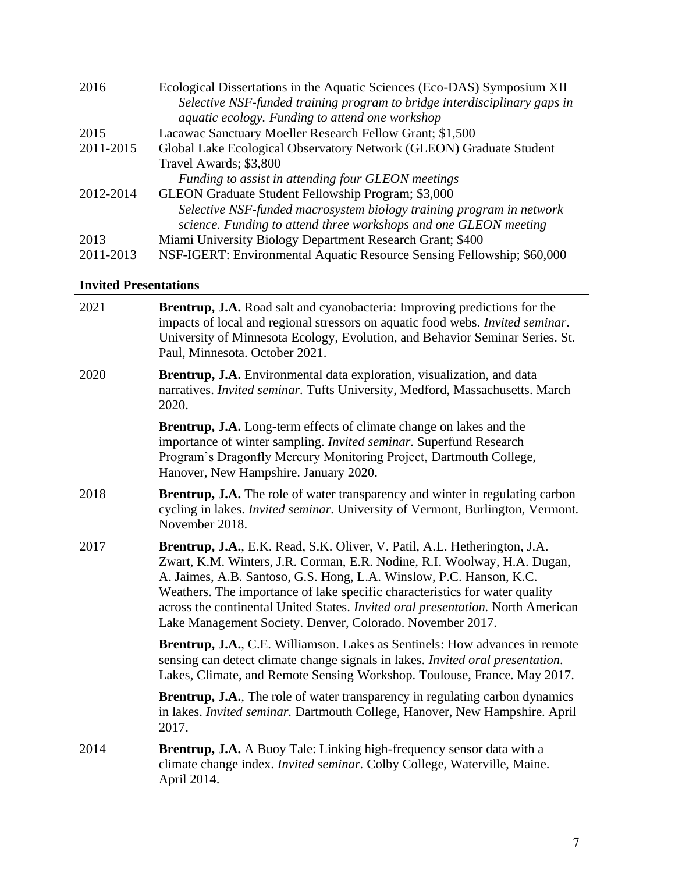| Ecological Dissertations in the Aquatic Sciences (Eco-DAS) Symposium XII  |
|---------------------------------------------------------------------------|
| Selective NSF-funded training program to bridge interdisciplinary gaps in |
| <i>aquatic ecology. Funding to attend one workshop</i>                    |
| Lacawac Sanctuary Moeller Research Fellow Grant; \$1,500                  |
| Global Lake Ecological Observatory Network (GLEON) Graduate Student       |
| Travel Awards; \$3,800                                                    |
| Funding to assist in attending four GLEON meetings                        |
| GLEON Graduate Student Fellowship Program; \$3,000                        |
| Selective NSF-funded macrosystem biology training program in network      |
| science. Funding to attend three workshops and one GLEON meeting          |
| Miami University Biology Department Research Grant; \$400                 |
| NSF-IGERT: Environmental Aquatic Resource Sensing Fellowship; \$60,000    |
|                                                                           |

# **Invited Presentations**

| 2021 | <b>Brentrup, J.A.</b> Road salt and cyanobacteria: Improving predictions for the<br>impacts of local and regional stressors on aquatic food webs. Invited seminar.<br>University of Minnesota Ecology, Evolution, and Behavior Seminar Series. St.<br>Paul, Minnesota. October 2021.                                                                                                                                                                        |
|------|-------------------------------------------------------------------------------------------------------------------------------------------------------------------------------------------------------------------------------------------------------------------------------------------------------------------------------------------------------------------------------------------------------------------------------------------------------------|
| 2020 | Brentrup, J.A. Environmental data exploration, visualization, and data<br>narratives. Invited seminar. Tufts University, Medford, Massachusetts. March<br>2020.                                                                                                                                                                                                                                                                                             |
|      | <b>Brentrup, J.A.</b> Long-term effects of climate change on lakes and the<br>importance of winter sampling. Invited seminar. Superfund Research<br>Program's Dragonfly Mercury Monitoring Project, Dartmouth College,<br>Hanover, New Hampshire. January 2020.                                                                                                                                                                                             |
| 2018 | <b>Brentrup, J.A.</b> The role of water transparency and winter in regulating carbon<br>cycling in lakes. <i>Invited seminar</i> . University of Vermont, Burlington, Vermont.<br>November 2018.                                                                                                                                                                                                                                                            |
| 2017 | Brentrup, J.A., E.K. Read, S.K. Oliver, V. Patil, A.L. Hetherington, J.A.<br>Zwart, K.M. Winters, J.R. Corman, E.R. Nodine, R.I. Woolway, H.A. Dugan,<br>A. Jaimes, A.B. Santoso, G.S. Hong, L.A. Winslow, P.C. Hanson, K.C.<br>Weathers. The importance of lake specific characteristics for water quality<br>across the continental United States. Invited oral presentation. North American<br>Lake Management Society. Denver, Colorado. November 2017. |
|      | <b>Brentrup, J.A., C.E. Williamson. Lakes as Sentinels: How advances in remote</b><br>sensing can detect climate change signals in lakes. Invited oral presentation.<br>Lakes, Climate, and Remote Sensing Workshop. Toulouse, France. May 2017.                                                                                                                                                                                                            |
|      | <b>Brentrup, J.A.</b> , The role of water transparency in regulating carbon dynamics<br>in lakes. Invited seminar. Dartmouth College, Hanover, New Hampshire. April<br>2017.                                                                                                                                                                                                                                                                                |
| 2014 | <b>Brentrup, J.A.</b> A Buoy Tale: Linking high-frequency sensor data with a<br>climate change index. Invited seminar. Colby College, Waterville, Maine.<br>April 2014.                                                                                                                                                                                                                                                                                     |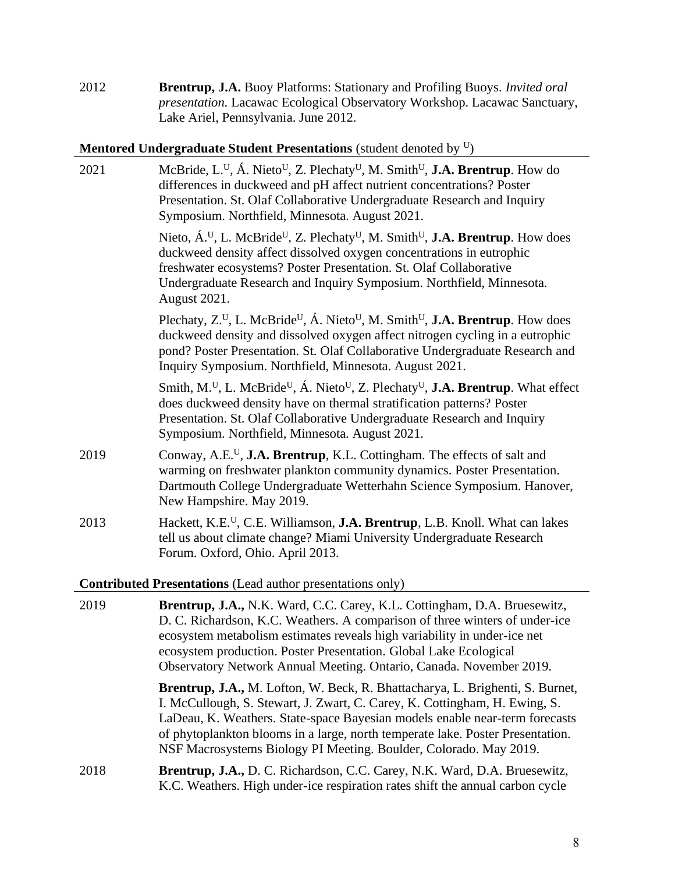2012 **Brentrup, J.A.** Buoy Platforms: Stationary and Profiling Buoys. *Invited oral presentation.* Lacawac Ecological Observatory Workshop. Lacawac Sanctuary, Lake Ariel, Pennsylvania. June 2012.

# **Mentored Undergraduate Student Presentations** (student denoted by <sup>U</sup>)

| 2021                                                                                                                          | McBride, L. <sup>U</sup> , Á. Nieto <sup>U</sup> , Z. Plechaty <sup>U</sup> , M. Smith <sup>U</sup> , <b>J.A. Brentrup</b> . How do<br>differences in duckweed and pH affect nutrient concentrations? Poster<br>Presentation. St. Olaf Collaborative Undergraduate Research and Inquiry<br>Symposium. Northfield, Minnesota. August 2021.                                              |  |
|-------------------------------------------------------------------------------------------------------------------------------|----------------------------------------------------------------------------------------------------------------------------------------------------------------------------------------------------------------------------------------------------------------------------------------------------------------------------------------------------------------------------------------|--|
|                                                                                                                               | Nieto, $\acute{A}$ . <sup>U</sup> , L. McBride <sup>U</sup> , Z. Plechaty <sup>U</sup> , M. Smith <sup>U</sup> , <b>J.A. Brentrup</b> . How does<br>duckweed density affect dissolved oxygen concentrations in eutrophic<br>freshwater ecosystems? Poster Presentation. St. Olaf Collaborative<br>Undergraduate Research and Inquiry Symposium. Northfield, Minnesota.<br>August 2021. |  |
|                                                                                                                               | Plechaty, $Z^U$ , L. McBride <sup>U</sup> , Á. Nieto <sup>U</sup> , M. Smith <sup>U</sup> , <b>J.A. Brentrup</b> . How does<br>duckweed density and dissolved oxygen affect nitrogen cycling in a eutrophic<br>pond? Poster Presentation. St. Olaf Collaborative Undergraduate Research and<br>Inquiry Symposium. Northfield, Minnesota. August 2021.                                  |  |
|                                                                                                                               | Smith, M. <sup>U</sup> , L. McBride <sup>U</sup> , Á. Nieto <sup>U</sup> , Z. Plechaty <sup>U</sup> , <b>J.A. Brentrup</b> . What effect<br>does duckweed density have on thermal stratification patterns? Poster<br>Presentation. St. Olaf Collaborative Undergraduate Research and Inquiry<br>Symposium. Northfield, Minnesota. August 2021.                                         |  |
| 2019                                                                                                                          | Conway, A.E. <sup>U</sup> , <b>J.A. Brentrup</b> , K.L. Cottingham. The effects of salt and<br>warming on freshwater plankton community dynamics. Poster Presentation.<br>Dartmouth College Undergraduate Wetterhahn Science Symposium. Hanover,<br>New Hampshire. May 2019.                                                                                                           |  |
| 2013                                                                                                                          | Hackett, K.E. <sup>U</sup> , C.E. Williamson, <b>J.A. Brentrup</b> , L.B. Knoll. What can lakes<br>tell us about climate change? Miami University Undergraduate Research<br>Forum. Oxford, Ohio. April 2013.                                                                                                                                                                           |  |
| $\Omega$ and $\Omega$ and $\Omega$ and $\Omega$ and $\Omega$ and $\Omega$ and $\Omega$ and $\Omega$ and $\Omega$ and $\Omega$ |                                                                                                                                                                                                                                                                                                                                                                                        |  |

**Contributed Presentations** (Lead author presentations only)

| 2019 | Brentrup, J.A., N.K. Ward, C.C. Carey, K.L. Cottingham, D.A. Bruesewitz,<br>D. C. Richardson, K.C. Weathers. A comparison of three winters of under-ice<br>ecosystem metabolism estimates reveals high variability in under-ice net<br>ecosystem production. Poster Presentation. Global Lake Ecological<br>Observatory Network Annual Meeting. Ontario, Canada. November 2019.                   |
|------|---------------------------------------------------------------------------------------------------------------------------------------------------------------------------------------------------------------------------------------------------------------------------------------------------------------------------------------------------------------------------------------------------|
|      | Brentrup, J.A., M. Lofton, W. Beck, R. Bhattacharya, L. Brighenti, S. Burnet,<br>I. McCullough, S. Stewart, J. Zwart, C. Carey, K. Cottingham, H. Ewing, S.<br>LaDeau, K. Weathers. State-space Bayesian models enable near-term forecasts<br>of phytoplankton blooms in a large, north temperate lake. Poster Presentation.<br>NSF Macrosystems Biology PI Meeting. Boulder, Colorado. May 2019. |
| 2018 | <b>Brentrup, J.A., D. C. Richardson, C.C. Carey, N.K. Ward, D.A. Bruesewitz,</b><br>K.C. Weathers. High under-ice respiration rates shift the annual carbon cycle                                                                                                                                                                                                                                 |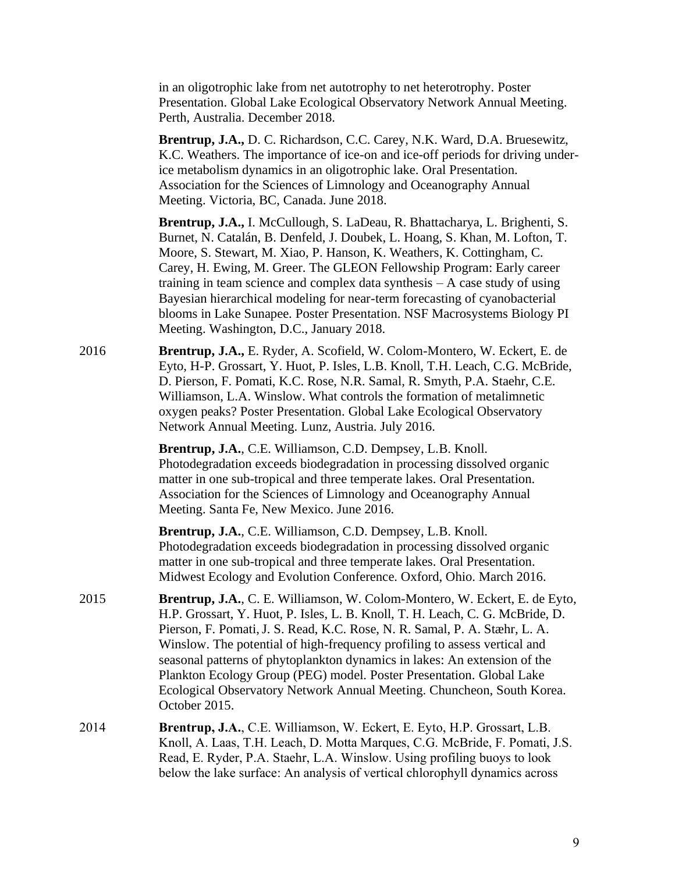in an oligotrophic lake from net autotrophy to net heterotrophy. Poster Presentation. Global Lake Ecological Observatory Network Annual Meeting. Perth, Australia. December 2018.

**Brentrup, J.A.,** D. C. Richardson, C.C. Carey, N.K. Ward, D.A. Bruesewitz, K.C. Weathers. The importance of ice-on and ice-off periods for driving underice metabolism dynamics in an oligotrophic lake. Oral Presentation. Association for the Sciences of Limnology and Oceanography Annual Meeting. Victoria, BC, Canada. June 2018.

**Brentrup, J.A.,** I. McCullough, S. LaDeau, R. Bhattacharya, L. Brighenti, S. Burnet, N. Catalán, B. Denfeld, J. Doubek, L. Hoang, S. Khan, M. Lofton, T. Moore, S. Stewart, M. Xiao, P. Hanson, K. Weathers, K. Cottingham, C. Carey, H. Ewing, M. Greer. The GLEON Fellowship Program: Early career training in team science and complex data synthesis – A case study of using Bayesian hierarchical modeling for near-term forecasting of cyanobacterial blooms in Lake Sunapee. Poster Presentation. NSF Macrosystems Biology PI Meeting. Washington, D.C., January 2018.

2016 **Brentrup, J.A.,** E. Ryder, A. Scofield, W. Colom-Montero, W. Eckert, E. de Eyto, H-P. Grossart, Y. Huot, P. Isles, L.B. Knoll, T.H. Leach, C.G. McBride, D. Pierson, F. Pomati, K.C. Rose, N.R. Samal, R. Smyth, P.A. Staehr, C.E. Williamson, L.A. Winslow. What controls the formation of metalimnetic oxygen peaks? Poster Presentation. Global Lake Ecological Observatory Network Annual Meeting. Lunz, Austria. July 2016.

> **Brentrup, J.A.**, C.E. Williamson, C.D. Dempsey, L.B. Knoll. Photodegradation exceeds biodegradation in processing dissolved organic matter in one sub-tropical and three temperate lakes. Oral Presentation. Association for the Sciences of Limnology and Oceanography Annual Meeting. Santa Fe, New Mexico. June 2016.

> **Brentrup, J.A.**, C.E. Williamson, C.D. Dempsey, L.B. Knoll. Photodegradation exceeds biodegradation in processing dissolved organic matter in one sub-tropical and three temperate lakes. Oral Presentation. Midwest Ecology and Evolution Conference. Oxford, Ohio. March 2016.

- 2015 **Brentrup, J.A.**, C. E. Williamson, W. Colom-Montero, W. Eckert, E. de Eyto, H.P. Grossart, Y. Huot, P. Isles, L. B. Knoll, T. H. Leach, C. G. McBride, D. Pierson, F. Pomati,J. S. Read, K.C. Rose, N. R. Samal, P. A. Stæhr, L. A. Winslow. The potential of high-frequency profiling to assess vertical and seasonal patterns of phytoplankton dynamics in lakes: An extension of the Plankton Ecology Group (PEG) model. Poster Presentation. Global Lake Ecological Observatory Network Annual Meeting. Chuncheon, South Korea. October 2015.
- 2014 **Brentrup, J.A.**, C.E. Williamson, W. Eckert, E. Eyto, H.P. Grossart, L.B. Knoll, A. Laas, T.H. Leach, D. Motta Marques, C.G. McBride, F. Pomati, J.S. Read, E. Ryder, P.A. Staehr, L.A. Winslow. Using profiling buoys to look below the lake surface: An analysis of vertical chlorophyll dynamics across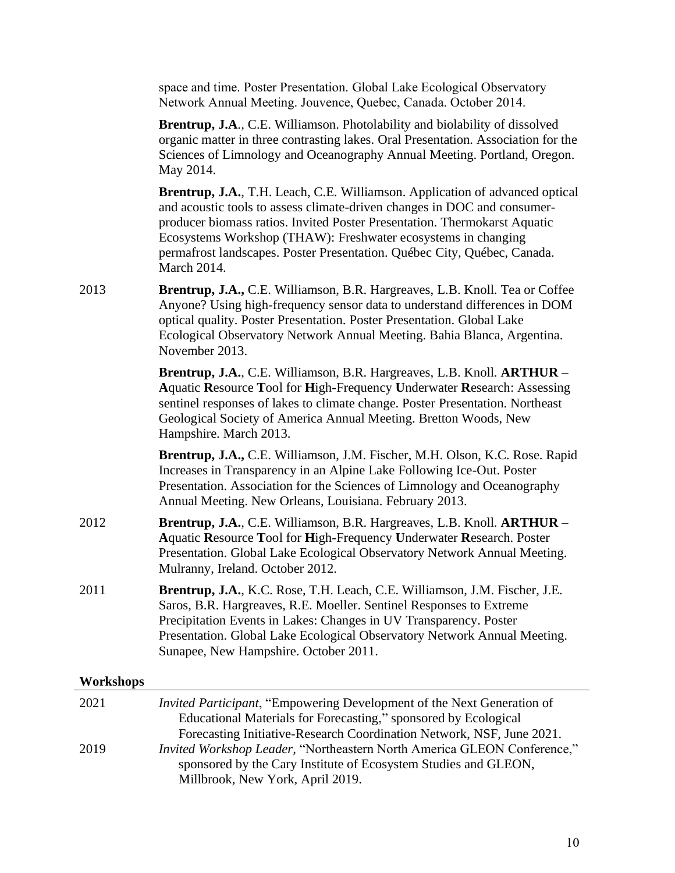space and time. Poster Presentation. Global Lake Ecological Observatory Network Annual Meeting. Jouvence, Quebec, Canada. October 2014.

**Brentrup, J.A***.,* C.E. Williamson. Photolability and biolability of dissolved organic matter in three contrasting lakes. Oral Presentation. Association for the Sciences of Limnology and Oceanography Annual Meeting. Portland, Oregon. May 2014.

**Brentrup, J.A.**, T.H. Leach, C.E. Williamson. Application of advanced optical and acoustic tools to assess climate-driven changes in DOC and consumerproducer biomass ratios. Invited Poster Presentation. Thermokarst Aquatic Ecosystems Workshop (THAW): Freshwater ecosystems in changing permafrost landscapes. Poster Presentation. Québec City, Québec, Canada. March 2014.

2013 **Brentrup, J.A.,** C.E. Williamson, B.R. Hargreaves, L.B. Knoll. Tea or Coffee Anyone? Using high-frequency sensor data to understand differences in DOM optical quality. Poster Presentation. Poster Presentation. Global Lake Ecological Observatory Network Annual Meeting. Bahia Blanca, Argentina. November 2013.

> **Brentrup, J.A.**, C.E. Williamson, B.R. Hargreaves, L.B. Knoll. **ARTHUR** – **A**quatic **R**esource **T**ool for **H**igh-Frequency **U**nderwater **R**esearch: Assessing sentinel responses of lakes to climate change. Poster Presentation. Northeast Geological Society of America Annual Meeting. Bretton Woods, New Hampshire. March 2013.

**Brentrup, J.A.,** C.E. Williamson, J.M. Fischer, M.H. Olson, K.C. Rose. Rapid Increases in Transparency in an Alpine Lake Following Ice-Out. Poster Presentation. Association for the Sciences of Limnology and Oceanography Annual Meeting. New Orleans, Louisiana. February 2013.

- 2012 **Brentrup, J.A.**, C.E. Williamson, B.R. Hargreaves, L.B. Knoll. **ARTHUR A**quatic **R**esource **T**ool for **H**igh-Frequency **U**nderwater **R**esearch. Poster Presentation. Global Lake Ecological Observatory Network Annual Meeting. Mulranny, Ireland. October 2012.
- 2011 **Brentrup, J.A.**, K.C. Rose, T.H. Leach, C.E. Williamson, J.M. Fischer, J.E. Saros, B.R. Hargreaves, R.E. Moeller. Sentinel Responses to Extreme Precipitation Events in Lakes: Changes in UV Transparency. Poster Presentation. Global Lake Ecological Observatory Network Annual Meeting. Sunapee, New Hampshire. October 2011.

#### **Workshops**

| 2021 | <i>Invited Participant</i> , "Empowering Development of the Next Generation of |
|------|--------------------------------------------------------------------------------|
|      | Educational Materials for Forecasting," sponsored by Ecological                |
|      | Forecasting Initiative-Research Coordination Network, NSF, June 2021.          |
| 2019 | Invited Workshop Leader, "Northeastern North America GLEON Conference,"        |
|      | sponsored by the Cary Institute of Ecosystem Studies and GLEON,                |
|      | Millbrook, New York, April 2019.                                               |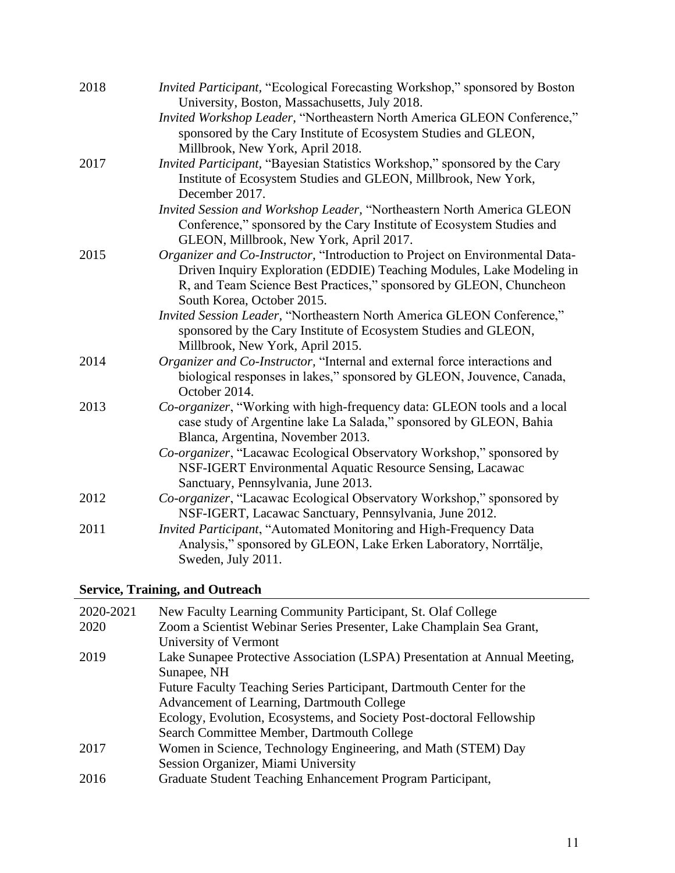| 2018 | Invited Participant, "Ecological Forecasting Workshop," sponsored by Boston<br>University, Boston, Massachusetts, July 2018.                                                                                                                              |
|------|-----------------------------------------------------------------------------------------------------------------------------------------------------------------------------------------------------------------------------------------------------------|
|      | Invited Workshop Leader, "Northeastern North America GLEON Conference,"<br>sponsored by the Cary Institute of Ecosystem Studies and GLEON,<br>Millbrook, New York, April 2018.                                                                            |
| 2017 | Invited Participant, "Bayesian Statistics Workshop," sponsored by the Cary<br>Institute of Ecosystem Studies and GLEON, Millbrook, New York,<br>December 2017.                                                                                            |
|      | Invited Session and Workshop Leader, "Northeastern North America GLEON<br>Conference," sponsored by the Cary Institute of Ecosystem Studies and<br>GLEON, Millbrook, New York, April 2017.                                                                |
| 2015 | Organizer and Co-Instructor, "Introduction to Project on Environmental Data-<br>Driven Inquiry Exploration (EDDIE) Teaching Modules, Lake Modeling in<br>R, and Team Science Best Practices," sponsored by GLEON, Chuncheon<br>South Korea, October 2015. |
|      | Invited Session Leader, "Northeastern North America GLEON Conference,"<br>sponsored by the Cary Institute of Ecosystem Studies and GLEON,<br>Millbrook, New York, April 2015.                                                                             |
| 2014 | Organizer and Co-Instructor, "Internal and external force interactions and<br>biological responses in lakes," sponsored by GLEON, Jouvence, Canada,<br>October 2014.                                                                                      |
| 2013 | Co-organizer, "Working with high-frequency data: GLEON tools and a local<br>case study of Argentine lake La Salada," sponsored by GLEON, Bahia<br>Blanca, Argentina, November 2013.                                                                       |
|      | Co-organizer, "Lacawac Ecological Observatory Workshop," sponsored by<br>NSF-IGERT Environmental Aquatic Resource Sensing, Lacawac<br>Sanctuary, Pennsylvania, June 2013.                                                                                 |
| 2012 | Co-organizer, "Lacawac Ecological Observatory Workshop," sponsored by<br>NSF-IGERT, Lacawac Sanctuary, Pennsylvania, June 2012.                                                                                                                           |
| 2011 | Invited Participant, "Automated Monitoring and High-Frequency Data<br>Analysis," sponsored by GLEON, Lake Erken Laboratory, Norrtälje,<br>Sweden, July 2011.                                                                                              |

# **Service, Training, and Outreach**

| 2020-2021 | New Faculty Learning Community Participant, St. Olaf College               |
|-----------|----------------------------------------------------------------------------|
| 2020      | Zoom a Scientist Webinar Series Presenter, Lake Champlain Sea Grant,       |
|           | University of Vermont                                                      |
| 2019      | Lake Sunapee Protective Association (LSPA) Presentation at Annual Meeting, |
|           | Sunapee, NH                                                                |
|           | Future Faculty Teaching Series Participant, Dartmouth Center for the       |
|           | Advancement of Learning, Dartmouth College                                 |
|           | Ecology, Evolution, Ecosystems, and Society Post-doctoral Fellowship       |
|           | Search Committee Member, Dartmouth College                                 |
| 2017      | Women in Science, Technology Engineering, and Math (STEM) Day              |
|           | Session Organizer, Miami University                                        |
| 2016      | Graduate Student Teaching Enhancement Program Participant,                 |